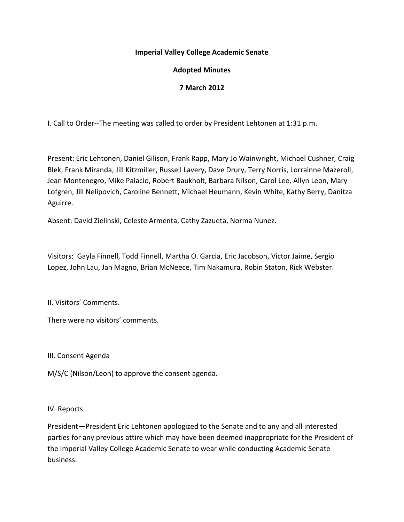## **Imperial Valley College Academic Senate**

# **Adopted Minutes**

# **7 March 2012**

I. Call to Order--The meeting was called to order by President Lehtonen at 1:31 p.m.

Present: Eric Lehtonen, Daniel Gilison, Frank Rapp, Mary Jo Wainwright, Michael Cushner, Craig Blek, Frank Miranda, Jill Kitzmiller, Russell Lavery, Dave Drury, Terry Norris, Lorrainne Mazeroll, Jean Montenegro, Mike Palacio, Robert Baukholt, Barbara Nilson, Carol Lee, Allyn Leon, Mary Lofgren, Jill Nelipovich, Caroline Bennett, Michael Heumann, Kevin White, Kathy Berry, Danitza Aguirre.

Absent: David Zielinski, Celeste Armenta, Cathy Zazueta, Norma Nunez.

Visitors: Gayla Finnell, Todd Finnell, Martha O. Garcia, Eric Jacobson, Victor Jaime, Sergio Lopez, John Lau, Jan Magno, Brian McNeece, Tim Nakamura, Robin Staton, Rick Webster.

II. Visitors' Comments.

There were no visitors' comments.

III. Consent Agenda

M/S/C (Nilson/Leon) to approve the consent agenda.

### IV. Reports

President—President Eric Lehtonen apologized to the Senate and to any and all interested parties for any previous attire which may have been deemed inappropriate for the President of the Imperial Valley College Academic Senate to wear while conducting Academic Senate business.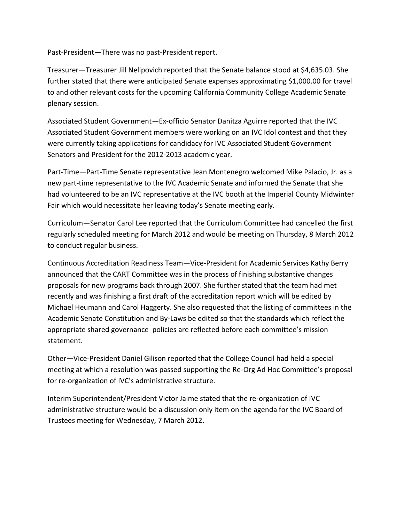Past-President—There was no past-President report.

Treasurer—Treasurer Jill Nelipovich reported that the Senate balance stood at \$4,635.03. She further stated that there were anticipated Senate expenses approximating \$1,000.00 for travel to and other relevant costs for the upcoming California Community College Academic Senate plenary session.

Associated Student Government—Ex-officio Senator Danitza Aguirre reported that the IVC Associated Student Government members were working on an IVC Idol contest and that they were currently taking applications for candidacy for IVC Associated Student Government Senators and President for the 2012-2013 academic year.

Part-Time—Part-Time Senate representative Jean Montenegro welcomed Mike Palacio, Jr. as a new part-time representative to the IVC Academic Senate and informed the Senate that she had volunteered to be an IVC representative at the IVC booth at the Imperial County Midwinter Fair which would necessitate her leaving today's Senate meeting early.

Curriculum—Senator Carol Lee reported that the Curriculum Committee had cancelled the first regularly scheduled meeting for March 2012 and would be meeting on Thursday, 8 March 2012 to conduct regular business.

Continuous Accreditation Readiness Team—Vice-President for Academic Services Kathy Berry announced that the CART Committee was in the process of finishing substantive changes proposals for new programs back through 2007. She further stated that the team had met recently and was finishing a first draft of the accreditation report which will be edited by Michael Heumann and Carol Haggerty. She also requested that the listing of committees in the Academic Senate Constitution and By-Laws be edited so that the standards which reflect the appropriate shared governance policies are reflected before each committee's mission statement.

Other—Vice-President Daniel Gilison reported that the College Council had held a special meeting at which a resolution was passed supporting the Re-Org Ad Hoc Committee's proposal for re-organization of IVC's administrative structure.

Interim Superintendent/President Victor Jaime stated that the re-organization of IVC administrative structure would be a discussion only item on the agenda for the IVC Board of Trustees meeting for Wednesday, 7 March 2012.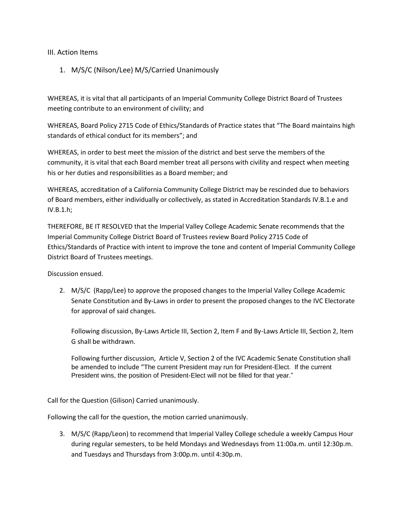#### III. Action Items

## 1. M/S/C (Nilson/Lee) M/S/Carried Unanimously

WHEREAS, it is vital that all participants of an Imperial Community College District Board of Trustees meeting contribute to an environment of civility; and

WHEREAS, Board Policy 2715 Code of Ethics/Standards of Practice states that "The Board maintains high standards of ethical conduct for its members"; and

WHEREAS, in order to best meet the mission of the district and best serve the members of the community, it is vital that each Board member treat all persons with civility and respect when meeting his or her duties and responsibilities as a Board member; and

WHEREAS, accreditation of a California Community College District may be rescinded due to behaviors of Board members, either individually or collectively, as stated in Accreditation Standards IV.B.1.e and IV.B.1.h;

THEREFORE, BE IT RESOLVED that the Imperial Valley College Academic Senate recommends that the Imperial Community College District Board of Trustees review Board Policy 2715 Code of Ethics/Standards of Practice with intent to improve the tone and content of Imperial Community College District Board of Trustees meetings.

Discussion ensued.

2. M/S/C (Rapp/Lee) to approve the proposed changes to the Imperial Valley College Academic Senate Constitution and By-Laws in order to present the proposed changes to the IVC Electorate for approval of said changes.

Following discussion, By-Laws Article III, Section 2, Item F and By-Laws Article III, Section 2, Item G shall be withdrawn.

Following further discussion, Article V, Section 2 of the IVC Academic Senate Constitution shall be amended to include "The current President may run for President-Elect. If the current President wins, the position of President-Elect will not be filled for that year."

Call for the Question (Gilison) Carried unanimously.

Following the call for the question, the motion carried unanimously.

3. M/S/C (Rapp/Leon) to recommend that Imperial Valley College schedule a weekly Campus Hour during regular semesters, to be held Mondays and Wednesdays from 11:00a.m. until 12:30p.m. and Tuesdays and Thursdays from 3:00p.m. until 4:30p.m.